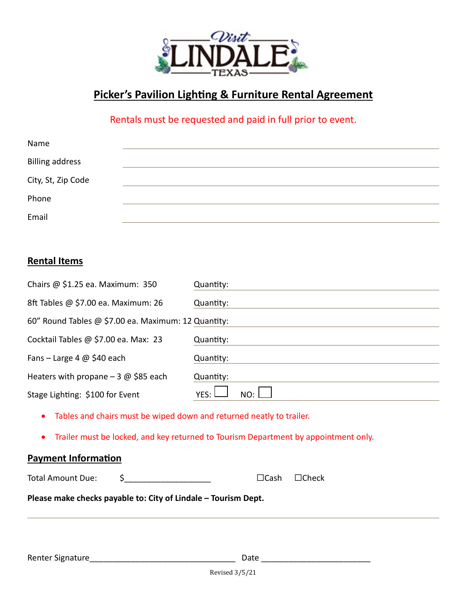

# **Picker's Pavilion Lighting & Furniture Rental Agreement**

## Rentals must be requested and paid in full prior to event.

| Name                   |  |
|------------------------|--|
| <b>Billing address</b> |  |
| City, St, Zip Code     |  |
| Phone                  |  |
| Email                  |  |

### **Rental Items**

| Chairs @ \$1.25 ea. Maximum: 350                                                    | Quantity:                   |  |  |
|-------------------------------------------------------------------------------------|-----------------------------|--|--|
| 8ft Tables @ \$7.00 ea. Maximum: 26                                                 | Quantity:                   |  |  |
| 60" Round Tables @ \$7.00 ea. Maximum: 12 Quantity:                                 |                             |  |  |
| Cocktail Tables @ \$7.00 ea. Max: 23                                                | Quantity:                   |  |  |
| Fans – Large 4 $\omega$ \$40 each                                                   | Quantity:                   |  |  |
| Heaters with propane $-3$ @ \$85 each                                               | Quantity:                   |  |  |
| Stage Lighting: \$100 for Event                                                     | YES: I<br>NO:               |  |  |
| Tables and chairs must be wiped down and returned neatly to trailer.                |                             |  |  |
| Trailer must be locked, and key returned to Tourism Department by appointment only. |                             |  |  |
| <b>Payment Information</b>                                                          |                             |  |  |
| <b>Total Amount Due:</b><br>\$                                                      | $\Box$ Cash<br>$\Box$ Check |  |  |
| Please make checks payable to: City of Lindale - Tourism Dept.                      |                             |  |  |
|                                                                                     |                             |  |  |
|                                                                                     |                             |  |  |